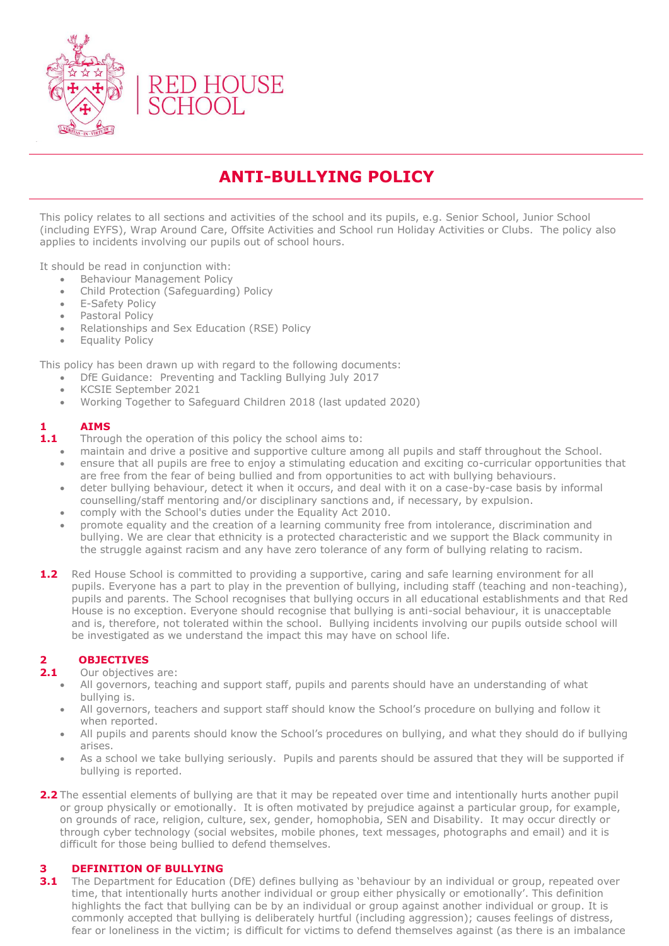

# **ANTI-BULLYING POLICY**

This policy relates to all sections and activities of the school and its pupils, e.g. Senior School, Junior School (including EYFS), Wrap Around Care, Offsite Activities and School run Holiday Activities or Clubs. The policy also applies to incidents involving our pupils out of school hours.

It should be read in conjunction with:

- Behaviour Management Policy
- Child Protection (Safeguarding) Policy
- E-Safety Policy
- Pastoral Policy
- Relationships and Sex Education (RSE) Policy
- Equality Policy

This policy has been drawn up with regard to the following documents:

- DfE Guidance: Preventing and Tackling Bullying July 2017
- KCSIE September 2021
- Working Together to Safeguard Children 2018 (last updated 2020)

## **1 AIMS**

**1.1** Through the operation of this policy the school aims to:

- maintain and drive a positive and supportive culture among all pupils and staff throughout the School. • ensure that all pupils are free to enjoy a stimulating education and exciting co-curricular opportunities that are free from the fear of being bullied and from opportunities to act with bullying behaviours.
- deter bullying behaviour, detect it when it occurs, and deal with it on a case-by-case basis by informal counselling/staff mentoring and/or disciplinary sanctions and, if necessary, by expulsion.
- comply with the School's duties under the Equality Act 2010.
- promote equality and the creation of a learning community free from intolerance, discrimination and bullying. We are clear that ethnicity is a protected characteristic and we support the Black community in the struggle against racism and any have zero tolerance of any form of bullying relating to racism.
- **1.2** Red House School is committed to providing a supportive, caring and safe learning environment for all pupils. Everyone has a part to play in the prevention of bullying, including staff (teaching and non-teaching), pupils and parents. The School recognises that bullying occurs in all educational establishments and that Red House is no exception. Everyone should recognise that bullying is anti-social behaviour, it is unacceptable and is, therefore, not tolerated within the school. Bullying incidents involving our pupils outside school will be investigated as we understand the impact this may have on school life.

## **2 OBJECTIVES**

- 2.1 Our objectives are:
	- All governors, teaching and support staff, pupils and parents should have an understanding of what bullying is.
	- All governors, teachers and support staff should know the School's procedure on bullying and follow it when reported.
	- All pupils and parents should know the School's procedures on bullying, and what they should do if bullying arises.
	- As a school we take bullying seriously. Pupils and parents should be assured that they will be supported if bullying is reported.
- **2.2** The essential elements of bullying are that it may be repeated over time and intentionally hurts another pupil or group physically or emotionally. It is often motivated by prejudice against a particular group, for example, on grounds of race, religion, culture, sex, gender, homophobia, SEN and Disability. It may occur directly or through cyber technology (social websites, mobile phones, text messages, photographs and email) and it is difficult for those being bullied to defend themselves.

## **3 DEFINITION OF BULLYING**

**3.1** The Department for Education (DfE) defines bullying as 'behaviour by an individual or group, repeated over time, that intentionally hurts another individual or group either physically or emotionally'. This definition highlights the fact that bullying can be by an individual or group against another individual or group. It is commonly accepted that bullying is deliberately hurtful (including aggression); causes feelings of distress, fear or loneliness in the victim; is difficult for victims to defend themselves against (as there is an imbalance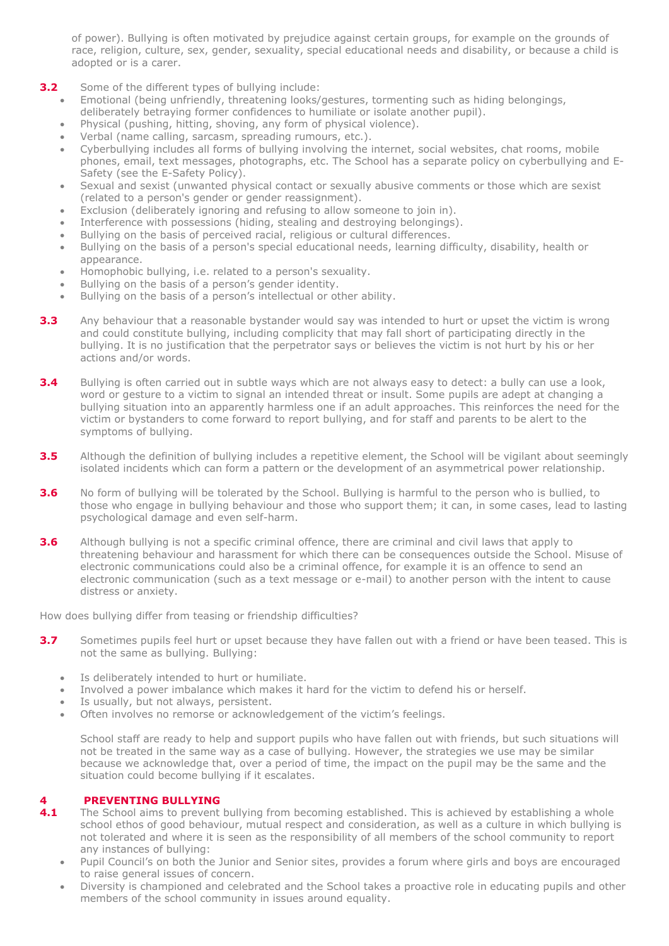of power). Bullying is often motivated by prejudice against certain groups, for example on the grounds of race, religion, culture, sex, gender, sexuality, special educational needs and disability, or because a child is adopted or is a carer.

- **3.2** Some of the different types of bullying include:
	- Emotional (being unfriendly, threatening looks/gestures, tormenting such as hiding belongings, deliberately betraying former confidences to humiliate or isolate another pupil).
	- Physical (pushing, hitting, shoving, any form of physical violence).
	- Verbal (name calling, sarcasm, spreading rumours, etc.).
	- Cyberbullying includes all forms of bullying involving the internet, social websites, chat rooms, mobile phones, email, text messages, photographs, etc. The School has a separate policy on cyberbullying and E-Safety (see the E-Safety Policy).
	- Sexual and sexist (unwanted physical contact or sexually abusive comments or those which are sexist (related to a person's gender or gender reassignment).
	- Exclusion (deliberately ignoring and refusing to allow someone to join in).
	- Interference with possessions (hiding, stealing and destroying belongings).
	- Bullying on the basis of perceived racial, religious or cultural differences.
	- Bullying on the basis of a person's special educational needs, learning difficulty, disability, health or appearance.
	- Homophobic bullying, i.e. related to a person's sexuality.
	- Bullying on the basis of a person's gender identity.
	- Bullying on the basis of a person's intellectual or other ability.
- **3.3** Any behaviour that a reasonable bystander would say was intended to hurt or upset the victim is wrong and could constitute bullying, including complicity that may fall short of participating directly in the bullying. It is no justification that the perpetrator says or believes the victim is not hurt by his or her actions and/or words.
- **3.4** Bullying is often carried out in subtle ways which are not always easy to detect: a bully can use a look, word or gesture to a victim to signal an intended threat or insult. Some pupils are adept at changing a bullying situation into an apparently harmless one if an adult approaches. This reinforces the need for the victim or bystanders to come forward to report bullying, and for staff and parents to be alert to the symptoms of bullying.
- **3.5** Although the definition of bullying includes a repetitive element, the School will be vigilant about seemingly isolated incidents which can form a pattern or the development of an asymmetrical power relationship.
- **3.6** No form of bullying will be tolerated by the School. Bullying is harmful to the person who is bullied, to those who engage in bullying behaviour and those who support them; it can, in some cases, lead to lasting psychological damage and even self-harm.
- **3.6** Although bullying is not a specific criminal offence, there are criminal and civil laws that apply to threatening behaviour and harassment for which there can be consequences outside the School. Misuse of electronic communications could also be a criminal offence, for example it is an offence to send an electronic communication (such as a text message or e-mail) to another person with the intent to cause distress or anxiety.

How does bullying differ from teasing or friendship difficulties?

- **3.7** Sometimes pupils feel hurt or upset because they have fallen out with a friend or have been teased. This is not the same as bullying. Bullying:
	- Is deliberately intended to hurt or humiliate.
	- Involved a power imbalance which makes it hard for the victim to defend his or herself.
	- Is usually, but not always, persistent.
	- Often involves no remorse or acknowledgement of the victim's feelings.

School staff are ready to help and support pupils who have fallen out with friends, but such situations will not be treated in the same way as a case of bullying. However, the strategies we use may be similar because we acknowledge that, over a period of time, the impact on the pupil may be the same and the situation could become bullying if it escalates.

## **4 PREVENTING BULLYING**

- **4.1** The School aims to prevent bullying from becoming established. This is achieved by establishing a whole school ethos of good behaviour, mutual respect and consideration, as well as a culture in which bullying is not tolerated and where it is seen as the responsibility of all members of the school community to report any instances of bullying:
	- Pupil Council's on both the Junior and Senior sites, provides a forum where girls and boys are encouraged to raise general issues of concern.
	- Diversity is championed and celebrated and the School takes a proactive role in educating pupils and other members of the school community in issues around equality.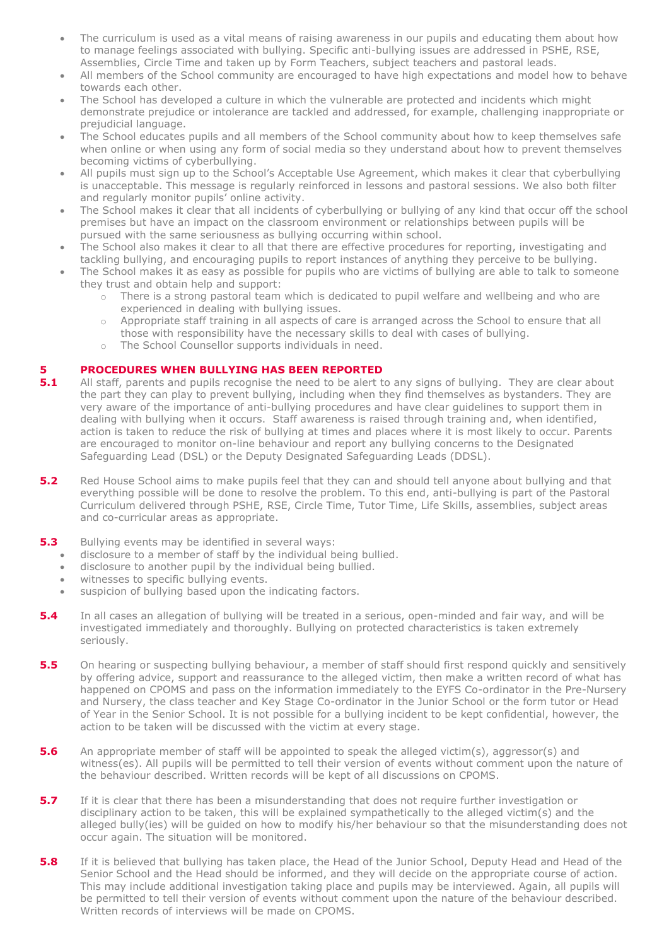- The curriculum is used as a vital means of raising awareness in our pupils and educating them about how to manage feelings associated with bullying. Specific anti-bullying issues are addressed in PSHE, RSE, Assemblies, Circle Time and taken up by Form Teachers, subject teachers and pastoral leads.
- All members of the School community are encouraged to have high expectations and model how to behave towards each other.
- The School has developed a culture in which the vulnerable are protected and incidents which might demonstrate prejudice or intolerance are tackled and addressed, for example, challenging inappropriate or prejudicial language.
- The School educates pupils and all members of the School community about how to keep themselves safe when online or when using any form of social media so they understand about how to prevent themselves becoming victims of cyberbullying.
- All pupils must sign up to the School's Acceptable Use Agreement, which makes it clear that cyberbullying is unacceptable. This message is regularly reinforced in lessons and pastoral sessions. We also both filter and regularly monitor pupils' online activity.
- The School makes it clear that all incidents of cyberbullying or bullying of any kind that occur off the school premises but have an impact on the classroom environment or relationships between pupils will be pursued with the same seriousness as bullying occurring within school.
- The School also makes it clear to all that there are effective procedures for reporting, investigating and tackling bullying, and encouraging pupils to report instances of anything they perceive to be bullying.
- The School makes it as easy as possible for pupils who are victims of bullying are able to talk to someone they trust and obtain help and support:
	- o There is a strong pastoral team which is dedicated to pupil welfare and wellbeing and who are experienced in dealing with bullying issues.
	- o Appropriate staff training in all aspects of care is arranged across the School to ensure that all those with responsibility have the necessary skills to deal with cases of bullying.
	- o The School Counsellor supports individuals in need.

## **5 PROCEDURES WHEN BULLYING HAS BEEN REPORTED**

- **5.1** All staff, parents and pupils recognise the need to be alert to any signs of bullying. They are clear about the part they can play to prevent bullying, including when they find themselves as bystanders. They are very aware of the importance of anti-bullying procedures and have clear guidelines to support them in dealing with bullying when it occurs. Staff awareness is raised through training and, when identified, action is taken to reduce the risk of bullying at times and places where it is most likely to occur. Parents are encouraged to monitor on-line behaviour and report any bullying concerns to the Designated Safeguarding Lead (DSL) or the Deputy Designated Safeguarding Leads (DDSL).
- **5.2** Red House School aims to make pupils feel that they can and should tell anyone about bullying and that everything possible will be done to resolve the problem. To this end, anti-bullying is part of the Pastoral Curriculum delivered through PSHE, RSE, Circle Time, Tutor Time, Life Skills, assemblies, subject areas and co-curricular areas as appropriate.
- **5.3** Bullying events may be identified in several ways:
	- disclosure to a member of staff by the individual being bullied.
	- disclosure to another pupil by the individual being bullied.
	- witnesses to specific bullying events.
	- suspicion of bullying based upon the indicating factors.
- **5.4** In all cases an allegation of bullying will be treated in a serious, open-minded and fair way, and will be investigated immediately and thoroughly. Bullying on protected characteristics is taken extremely seriously.
- **5.5** On hearing or suspecting bullying behaviour, a member of staff should first respond quickly and sensitively by offering advice, support and reassurance to the alleged victim, then make a written record of what has happened on CPOMS and pass on the information immediately to the EYFS Co-ordinator in the Pre-Nursery and Nursery, the class teacher and Key Stage Co-ordinator in the Junior School or the form tutor or Head of Year in the Senior School. It is not possible for a bullying incident to be kept confidential, however, the action to be taken will be discussed with the victim at every stage.
- **5.6** An appropriate member of staff will be appointed to speak the alleged victim(s), aggressor(s) and witness(es). All pupils will be permitted to tell their version of events without comment upon the nature of the behaviour described. Written records will be kept of all discussions on CPOMS.
- **5.7** If it is clear that there has been a misunderstanding that does not require further investigation or disciplinary action to be taken, this will be explained sympathetically to the alleged victim(s) and the alleged bully(ies) will be guided on how to modify his/her behaviour so that the misunderstanding does not occur again. The situation will be monitored.
- **5.8** If it is believed that bullying has taken place, the Head of the Junior School, Deputy Head and Head of the Senior School and the Head should be informed, and they will decide on the appropriate course of action. This may include additional investigation taking place and pupils may be interviewed. Again, all pupils will be permitted to tell their version of events without comment upon the nature of the behaviour described. Written records of interviews will be made on CPOMS.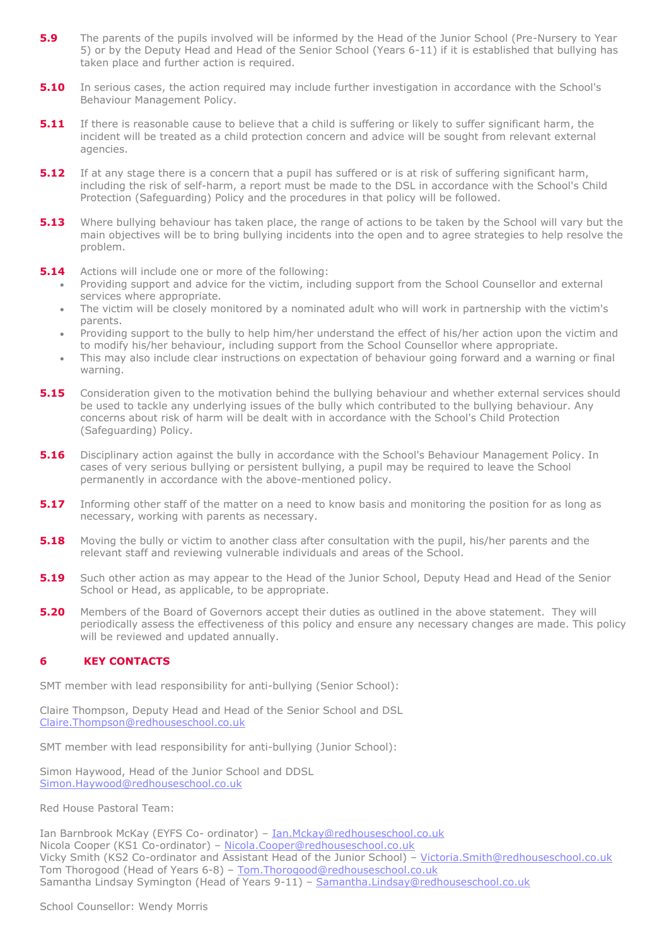- **5.9** The parents of the pupils involved will be informed by the Head of the Junior School (Pre-Nursery to Year 5) or by the Deputy Head and Head of the Senior School (Years 6-11) if it is established that bullying has taken place and further action is required.
- **5.10** In serious cases, the action required may include further investigation in accordance with the School's Behaviour Management Policy.
- **5.11** If there is reasonable cause to believe that a child is suffering or likely to suffer significant harm, the incident will be treated as a child protection concern and advice will be sought from relevant external agencies.
- **5.12** If at any stage there is a concern that a pupil has suffered or is at risk of suffering significant harm, including the risk of self-harm, a report must be made to the DSL in accordance with the School's Child Protection (Safeguarding) Policy and the procedures in that policy will be followed.
- **5.13** Where bullying behaviour has taken place, the range of actions to be taken by the School will vary but the main objectives will be to bring bullying incidents into the open and to agree strategies to help resolve the problem.
- **5.14** Actions will include one or more of the following:
	- Providing support and advice for the victim, including support from the School Counsellor and external services where appropriate.
	- The victim will be closely monitored by a nominated adult who will work in partnership with the victim's parents.
	- Providing support to the bully to help him/her understand the effect of his/her action upon the victim and to modify his/her behaviour, including support from the School Counsellor where appropriate.
	- This may also include clear instructions on expectation of behaviour going forward and a warning or final warning.
- **5.15** Consideration given to the motivation behind the bullying behaviour and whether external services should be used to tackle any underlying issues of the bully which contributed to the bullying behaviour. Any concerns about risk of harm will be dealt with in accordance with the School's Child Protection (Safeguarding) Policy.
- **5.16** Disciplinary action against the bully in accordance with the School's Behaviour Management Policy. In cases of very serious bullying or persistent bullying, a pupil may be required to leave the School permanently in accordance with the above-mentioned policy.
- **5.17** Informing other staff of the matter on a need to know basis and monitoring the position for as long as necessary, working with parents as necessary.
- **5.18** Moving the bully or victim to another class after consultation with the pupil, his/her parents and the relevant staff and reviewing vulnerable individuals and areas of the School.
- **5.19** Such other action as may appear to the Head of the Junior School, Deputy Head and Head of the Senior School or Head, as applicable, to be appropriate.
- **5.20** Members of the Board of Governors accept their duties as outlined in the above statement. They will periodically assess the effectiveness of this policy and ensure any necessary changes are made. This policy will be reviewed and updated annually.

## **6 KEY CONTACTS**

SMT member with lead responsibility for anti-bullying (Senior School):

Claire Thompson, Deputy Head and Head of the Senior School and DSL [Claire.Thompson@redhouseschool.co.uk](mailto:Claire.Thompson@redhouseschool.co.uk)

SMT member with lead responsibility for anti-bullying (Junior School):

Simon Haywood, Head of the Junior School and DDSL [Simon.Haywood@redhouseschool.co.uk](mailto:Simon.Haywood@redhouseschool.co.uk)

Red House Pastoral Team:

Ian Barnbrook McKay (EYFS Co- ordinator) - [Ian.Mckay@redhouseschool.co.uk](mailto:Ian.Mckay@redhouseschool.co.uk) Nicola Cooper (KS1 Co-ordinator) - [Nicola.Cooper@redhouseschool.co.uk](mailto:Nicola.Cooper@redhouseschool.co.uk) Vicky Smith (KS2 Co-ordinator and Assistant Head of the Junior School) – [Victoria.Smith@redhouseschool.co.uk](mailto:Victoria.Smith@redhouseschool.co.uk) Tom Thorogood (Head of Years 6-8) - Tom. Thorogood@redhouseschool.co.uk Samantha Lindsay Symington (Head of Years 9-11) – [Samantha.Lindsay@redhouseschool.co.uk](mailto:Samantha.Lindsay@redhouseschool.co.uk)

#### School Counsellor: Wendy Morris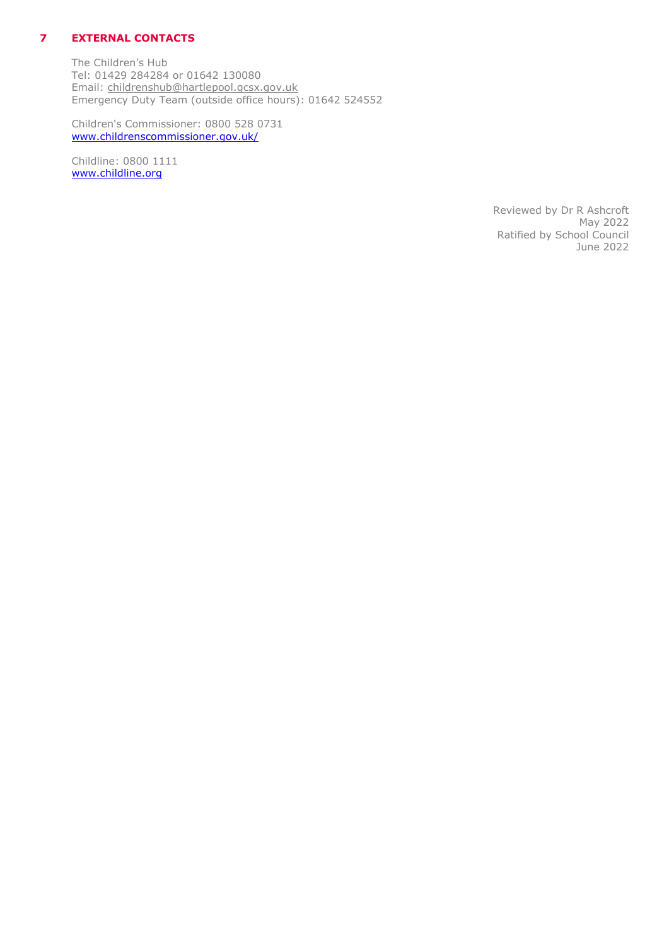## **7 EXTERNAL CONTACTS**

The Children's Hub Tel: 01429 284284 or 01642 130080 Email: [childrenshub@hartlepool.gcsx.gov.uk](mailto:childrenshub@hartlepool.gcsx.gov.uk) Emergency Duty Team (outside office hours): 01642 524552

Children's Commissioner: 0800 528 0731 [www.childrenscommissioner.gov.uk/](http://www.childrenscommissioner.gov.uk/)

Childline: 0800 1111 [www.childline.org](http://www.childline.org/)

> Reviewed by Dr R Ashcroft May 2022 Ratified by School Council June 2022